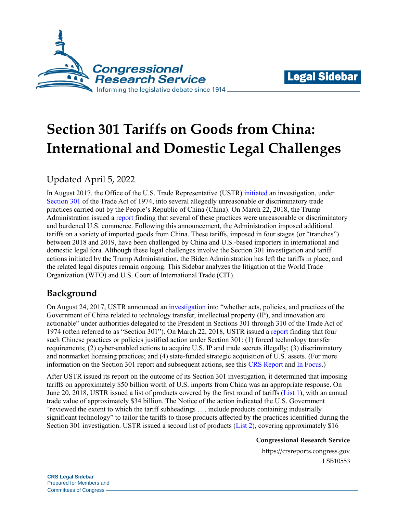



# **Section 301 Tariffs on Goods from China: International and Domestic Legal Challenges**

# Updated April 5, 2022

In August 2017, the Office of the U.S. Trade Representative (USTR) [initiated](https://ustr.gov/sites/default/files/enforcement/301Investigations/FRN%20China301.pdf) an investigation, under [Section 301](https://crsreports.congress.gov/product/pdf/IF/IF11346) of the Trade Act of 1974, into several allegedly unreasonable or discriminatory trade practices carried out by the People's Republic of China (China). On March 22, 2018, the Trump Administration issued a [report](https://ustr.gov/sites/default/files/Section%20301%20FINAL.PDF) finding that several of these practices were unreasonable or discriminatory and burdened U.S. commerce. Following this announcement, the Administration imposed additional tariffs on a variety of imported goods from China. These tariffs, imposed in four stages (or "tranches") between 2018 and 2019, have been challenged by China and U.S.-based importers in international and domestic legal fora. Although these legal challenges involve the Section 301 investigation and tariff actions initiated by the Trump Administration, the Biden Administration has left the tariffs in place, and the related legal disputes remain ongoing. This Sidebar analyzes the litigation at the World Trade Organization (WTO) and U.S. Court of International Trade (CIT).

# **Background**

On August 24, 2017, USTR announced an [investigation](https://ustr.gov/sites/default/files/enforcement/301Investigations/FRN%20China301.pdf) into "whether acts, policies, and practices of the Government of China related to technology transfer, intellectual property (IP), and innovation are actionable" under authorities delegated to the President in Sections 301 through 310 of the Trade Act of 1974 (often referred to as "Section 301"). On March 22, 2018, USTR issued a [report](https://ustr.gov/sites/default/files/Section%20301%20FINAL.PDF) finding that four such Chinese practices or policies justified action under Section 301: (1) forced technology transfer requirements; (2) cyber-enabled actions to acquire U.S. IP and trade secrets illegally; (3) discriminatory and nonmarket licensing practices; and (4) state-funded strategic acquisition of U.S. assets. (For more information on the Section 301 report and subsequent actions, see this [CRS Report](https://crsreports.congress.gov/product/pdf/R/R45898#_Toc18417557) and [In Focus.](https://crsreports.congress.gov/product/pdf/IF/IF11582))

After USTR issued its report on the outcome of its Section 301 investigation, it determined that imposing tariffs on approximately \$50 billion worth of U.S. imports from China was an appropriate response. On June 20, 2018, USTR issued a list of products covered by the first round of tariffs [\(List 1\)](https://ustr.gov/sites/default/files/2018-13248.pdf), with an annual trade value of approximately \$34 billion. The Notice of the action indicated the U.S. Government "reviewed the extent to which the tariff subheadings . . . include products containing industrially significant technology" to tailor the tariffs to those products affected by the practices identified during the Section 301 investigation. USTR issued a second list of products [\(List 2\)](https://ustr.gov/sites/default/files/enforcement/301Investigations/2018-17709.pdf), covering approximately \$16

**Congressional Research Service**

https://crsreports.congress.gov LSB10553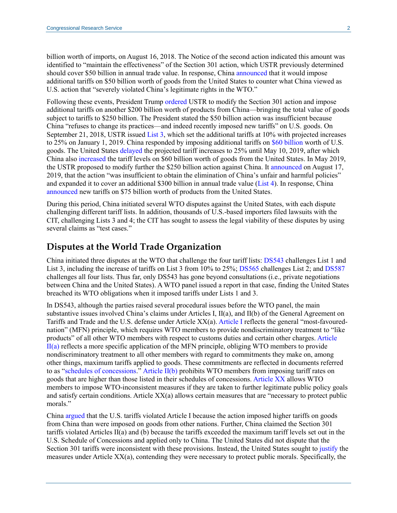billion worth of imports, on August 16, 2018. The Notice of the second action indicated this amount was identified to "maintain the effectiveness" of the Section 301 action, which USTR previously determined should cover \$50 billion in annual trade value. In response, China [announced](http://english.mofcom.gov.cn/article/newsrelease/significantnews/201806/20180602757681.shtml) that it would impose additional tariffs on \$50 billion worth of goods from the United States to counter what China viewed as U.S. action that "severely violated China's legitimate rights in the WTO."

Following these events, President Trump [ordered](https://ustr.gov/sites/default/files/enforcement/301Investigations/2018-0026%20China%20FRN%207-10-2018_0.pdf#page=2) USTR to modify the Section 301 action and impose additional tariffs on another \$200 billion worth of products from China—bringing the total value of goods subject to tariffs to \$250 billion. The President stated the \$50 billion action was insufficient because China "refuses to change its practices—and indeed recently imposed new tariffs" on U.S. goods. On September 21, 2018, USTR issued [List 3,](https://ustr.gov/sites/default/files/enforcement/301Investigations/83%20FR%2047974.pdf) which set the additional tariffs at 10% with projected increases to 25% on January 1, 2019. China responded by imposing additional tariffs on [\\$60 billion](https://www.cnbc.com/2018/09/18/china-says-new-tariffs-on-us-goods-worth-60-billion-effective-sept-24.html) worth of U.S. goods. The United States [delayed](https://ustr.gov/sites/default/files/enforcement/301Investigations/84_FR_20459.pdf) the projected tariff increases to 25% until May 10, 2019, after which China also [increased](http://english.mofcom.gov.cn/article/newsrelease/counselorsoffice/westernasiaandafricareport/201905/20190502862894.shtml) the tariff levels on \$60 billion worth of goods from the United States. In May 2019, the USTR proposed to modify further the \$250 billion action against China. It [announced](https://ustr.gov/sites/default/files/enforcement/301Investigations/Notice_of_Modification_%28List_4A_and_List_4B%29.pdf) on August 17, 2019, that the action "was insufficient to obtain the elimination of China's unfair and harmful policies" and expanded it to cover an additional \$300 billion in annual trade value [\(List 4\)](https://ustr.gov/sites/default/files/enforcement/301Investigations/Notice_of_Modification_%28List_4A_and_List_4B%29.pdf). In response, China [announced](https://www.fas.usda.gov/data/china-china-announces-increases-additional-tariffs) new tariffs on \$75 billion worth of products from the United States.

During this period, China initiated several WTO disputes against the United States, with each dispute challenging different tariff lists. In addition, thousands of U.S.-based importers filed lawsuits with the CIT, challenging Lists 3 and 4; the CIT has sought to assess the legal viability of these disputes by using several claims as "test cases."

#### **Disputes at the World Trade Organization**

China initiated three disputes at the WTO that challenge the four tariff lists: [DS543](https://docs.wto.org/dol2fe/Pages/SS/directdoc.aspx?filename=q:/WT/DS/543-7.pdf&Open=True) challenges List 1 and List 3, including the increase of tariffs on List 3 from 10% to 25%; [DS565](https://docs.wto.org/dol2fe/Pages/SS/directdoc.aspx?filename=q:/WT/DS/565-1.pdf&Open=True) challenges List 2; and [DS587](https://docs.wto.org/dol2fe/Pages/SS/directdoc.aspx?filename=q:/WT/DS/587-1.pdf&Open=True) challenges all four lists. Thus far, only DS543 has gone beyond consultations (i.e., private negotiations between China and the United States). A WTO panel issued a report in that case, finding the United States breached its WTO obligations when it imposed tariffs under Lists 1 and 3.

In DS543, although the parties raised several procedural issues before the WTO panel, the main substantive issues involved China's claims under Articles I, II(a), and II(b) of the General Agreement on Tariffs and Trade and the U.S. defense under Article XX(a). [Article I](https://www.wto.org/english/docs_e/legal_e/gatt47_01_e.htm#articleI) reflects the general "most-favourednation" (MFN) principle, which requires WTO members to provide nondiscriminatory treatment to "like products" of all other WTO members with respect to customs duties and certain other charges[. Article](https://www.wto.org/english/docs_e/legal_e/gatt47_01_e.htm#articleII)   $II(a)$  reflects a more specific application of the MFN principle, obliging WTO members to provide nondiscriminatory treatment to all other members with regard to commitments they make on, among other things, maximum tariffs applied to goods. These commitments are reflected in documents referred to as ["schedules of concessions.](https://www.wto.org/english/tratop_e/schedules_e/goods_schedules_e.htm.)" Article  $II(b)$  prohibits WTO members from imposing tariff rates on goods that are higher than those listed in their schedules of concessions. [Article XX](https://www.wto.org/english/docs_e/legal_e/gatt47_02_e.htm#articleXX) allows WTO members to impose WTO-inconsistent measures if they are taken to further legitimate public policy goals and satisfy certain conditions. Article XX(a) allows certain measures that are "necessary to protect public morals."

China [argued](https://docs.wto.org/dol2fe/Pages/SS/directdoc.aspx?filename=q:/WT/DS/543R.pdf&Open=True#page=30) that the U.S. tariffs violated Article I because the action imposed higher tariffs on goods from China than were imposed on goods from other nations. Further, China claimed the Section 301 tariffs violated Articles II(a) and (b) because the tariffs exceeded the maximum tariff levels set out in the U.S. Schedule of Concessions and applied only to China. The United States did not dispute that the Section 301 tariffs were inconsistent with these provisions. Instead, the United States sought to [justify](https://docs.wto.org/dol2fe/Pages/SS/directdoc.aspx?filename=q:/WT/DS/543R.pdf&Open=True#page=30) the measures under Article XX(a), contending they were necessary to protect public morals. Specifically, the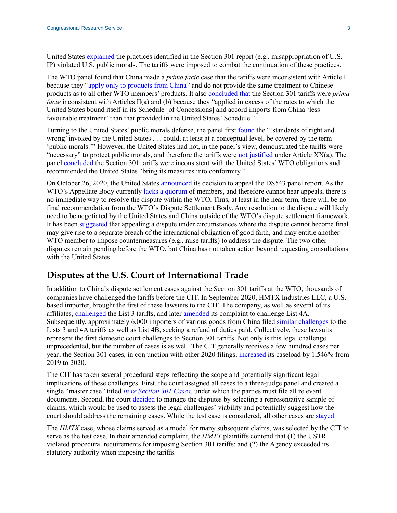United State[s explained](https://docs.wto.org/dol2fe/Pages/SS/directdoc.aspx?filename=q:/WT/DS/543RA1.pdf&Open=True#page=23) the practices identified in the Section 301 report (e.g., misappropriation of U.S. IP) violated U.S. public morals. The tariffs were imposed to combat the continuation of these practices.

The WTO panel found that China made a *prima facie* case that the tariffs were inconsistent with Article I because they ["apply only to products from China"](https://docs.wto.org/dol2fe/Pages/SS/directdoc.aspx?filename=q:/WT/DS/543R.pdf&Open=True#page=32) and do not provide the same treatment to Chinese products as to all other WTO members' products. It also [concluded](https://docs.wto.org/dol2fe/Pages/SS/directdoc.aspx?filename=q:/WT/DS/543R.pdf&Open=True#page=34) that the Section 301 tariffs were *prima facie* inconsistent with Articles II(a) and (b) because they "applied in excess of the rates to which the United States bound itself in its Schedule [of Concessions] and accord imports from China 'less favourable treatment' than that provided in the United States' Schedule."

Turning to the United States' public morals defense, the panel first [found](https://docs.wto.org/dol2fe/Pages/SS/directdoc.aspx?filename=q:/WT/DS/543R.pdf&Open=True#page=42) the "'standards of right and wrong' invoked by the United States . . . could, at least at a conceptual level, be covered by the term 'public morals.'" However, the United States had not, in the panel's view, demonstrated the tariffs were "necessary" to protect public morals, and therefore the tariffs were [not justified](https://docs.wto.org/dol2fe/Pages/SS/directdoc.aspx?filename=q:/WT/DS/543R.pdf&Open=True#page=64) under Article  $XX(a)$ . The panel [concluded](https://docs.wto.org/dol2fe/Pages/SS/directdoc.aspx?filename=q:/WT/DS/543R.pdf&Open=True#page=65) the Section 301 tariffs were inconsistent with the United States' WTO obligations and recommended the United States "bring its measures into conformity."

On October 26, 2020, the United States [announced](https://www.wto.org/english/news_e/news20_e/ds543apl_26oct20_e.htm) its decision to appeal the DS543 panel report. As the WTO's Appellate Body currently [lacks a quorum](https://crsreports.congress.gov/product/pdf/LSB/LSB10385) of members, and therefore cannot hear appeals, there is no immediate way to resolve the dispute within the WTO. Thus, at least in the near term, there will be no final recommendation from the WTO's Dispute Settlement Body. Any resolution to the dispute will likely need to be negotiated by the United States and China outside of the WTO's dispute settlement framework. It has been [suggested](https://data.consilium.europa.eu/doc/document/ST-15088-2019-INIT/en/pdf#page=6) that appealing a dispute under circumstances where the dispute cannot become final may give rise to a separate breach of the international obligation of good faith, and may entitle another WTO member to impose countermeasures (e.g., raise tariffs) to address the dispute. The two other disputes remain pending before the WTO, but China has not taken action beyond requesting consultations with the United States.

### **Disputes at the U.S. Court of International Trade**

In addition to China's dispute settlement cases against the Section 301 tariffs at the WTO, thousands of companies have challenged the tariffs before the CIT. In September 2020, HMTX Industries LLC, a U.S. based importer, brought the first of these lawsuits to the CIT. The company, as well as several of its affiliates, [challenged](https://www.law360.com/internationaltrade/articles/1312509/more-than-3-300-importers-energized-to-erase-china-tariffs?nl_pk=dd04f028-97e7-43d2-844a-9af611ce9033&utm_source=newsletter&utm_medium=email&utm_campaign=internationaltrade) the List 3 tariffs, and later [amended](https://www.jdsupra.com/legalnews/latest-development-in-court-case-74489/) its complaint to challenge List 4A. Subsequently, approximately 6,000 importers of various goods from China filed [similar challenges](https://www.law360.com/internationaltrade/articles/1312509/more-than-3-300-importers-energized-to-erase-china-tariffs?nl_pk=dd04f028-97e7-43d2-844a-9af611ce9033&utm_source=newsletter&utm_medium=email&utm_campaign=internationaltrade) to the Lists 3 and 4A tariffs as well as List 4B, seeking a refund of duties paid. Collectively, these lawsuits represent the first domestic court challenges to Section 301 tariffs. Not only is this legal challenge unprecedented, but the number of cases is as well. The CIT generally receives a few hundred cases per year; the Section 301 cases, in conjunction with other 2020 filings, [increased](https://www.uscourts.gov/statistics-reports/us-court-international-trade-judicial-business-2020) its caseload by 1,546% from 2019 to 2020.

The CIT has taken several procedural steps reflecting the scope and potentially significant legal implications of these challenges. First, the court assigned all cases to a three-judge panel and created a single "master case" titled *[In re Section 301 Cases](https://filehost.thompsonhine.com/uploads/CIT_Procedural_Order_1_295f.pdf)*, under which the parties must file all relevant documents. Second, the court [decided](https://filehost.thompsonhine.com/uploads/CIT_Procedural_Order_2_cd67.pdf) to manage the disputes by selecting a representative sample of claims, which would be used to assess the legal challenges' viability and potentially suggest how the court should address the remaining cases. While the test case is considered, all other cases are [stayed.](https://www.cit.uscourts.gov/sites/cit/files/Admin_Order_21-02.pdf)

The *HMTX* case, whose claims served as a model for many subsequent claims, was selected by the CIT to serve as the test case. In their amended complaint, the *HMTX* plaintiffs contend that (1) the USTR violated procedural requirements for imposing Section 301 tariffs; and (2) the Agency exceeded its statutory authority when imposing the tariffs.